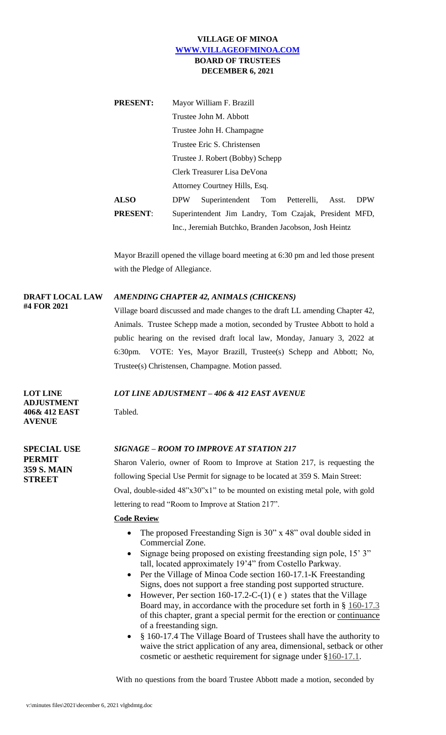# **VILLAGE OF MINOA [WWW.VILLAGEOFMINOA.COM](http://www.villageofminoa.com/) BOARD OF TRUSTEES DECEMBER 6, 2021**

| <b>PRESENT:</b> | Mayor William F. Brazill                                            |
|-----------------|---------------------------------------------------------------------|
|                 | Trustee John M. Abbott                                              |
|                 | Trustee John H. Champagne                                           |
|                 | Trustee Eric S. Christensen                                         |
|                 | Trustee J. Robert (Bobby) Schepp                                    |
|                 | Clerk Treasurer Lisa DeVona                                         |
|                 | Attorney Courtney Hills, Esq.                                       |
| <b>ALSO</b>     | Superintendent Tom Petterelli,<br>Asst.<br><b>DPW</b><br><b>DPW</b> |
| <b>PRESENT:</b> | Superintendent Jim Landry, Tom Czajak, President MFD,               |
|                 | Inc., Jeremiah Butchko, Branden Jacobson, Josh Heintz               |

Mayor Brazill opened the village board meeting at 6:30 pm and led those present with the Pledge of Allegiance.

#### **DRAFT LOCAL LAW #4 FOR 2021** *AMENDING CHAPTER 42, ANIMALS (CHICKENS)*

Village board discussed and made changes to the draft LL amending Chapter 42, Animals. Trustee Schepp made a motion, seconded by Trustee Abbott to hold a public hearing on the revised draft local law, Monday, January 3, 2022 at 6:30pm. VOTE: Yes, Mayor Brazill, Trustee(s) Schepp and Abbott; No, Trustee(s) Christensen, Champagne. Motion passed.

**LOT LINE ADJUSTMENT 406& 412 EAST AVENUE**

**SPECIAL USE PERMIT 359 S. MAIN STREET**

# *LOT LINE ADJUSTMENT – 406 & 412 EAST AVENUE*

Tabled.

#### *SIGNAGE – ROOM TO IMPROVE AT STATION 217*

Sharon Valerio, owner of Room to Improve at Station 217, is requesting the following Special Use Permit for signage to be located at 359 S. Main Street: Oval, double-sided 48"x30"x1" to be mounted on existing metal pole, with gold lettering to read "Room to Improve at Station 217".

# **Code Review**

- The proposed Freestanding Sign is 30" x 48" oval double sided in Commercial Zone.
- Signage being proposed on existing freestanding sign pole, 15' 3" tall, located approximately 19'4" from Costello Parkway.
- Per the Village of Minoa Code section 160-17.1-K Freestanding Signs, does not support a free standing post supported structure.
- However, Per section 160-17.2-C-(1) ( $e$ ) states that the Village Board may, in accordance with the procedure set forth in § [160-17.3](https://ecode360.com/16260311#16260311) of this chapter, grant a special permit for the erection or continuance of a freestanding sign.
- § 160-17.4 The Village Board of Trustees shall have the authority to waive the strict application of any area, dimensional, setback or other cosmetic or aesthetic requirement for signage under [§160-17.1.](https://ecode360.com/16260231#16260231)

With no questions from the board Trustee Abbott made a motion, seconded by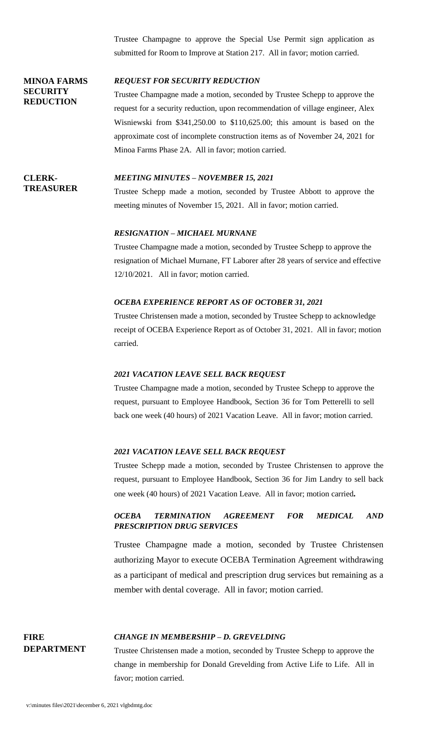Trustee Champagne to approve the Special Use Permit sign application as submitted for Room to Improve at Station 217. All in favor; motion carried.

**MINOA FARMS SECURITY REDUCTION**

**CLERK-TREASURER**

#### *REQUEST FOR SECURITY REDUCTION*

Trustee Champagne made a motion, seconded by Trustee Schepp to approve the request for a security reduction, upon recommendation of village engineer, Alex Wisniewski from \$341,250.00 to \$110,625.00; this amount is based on the approximate cost of incomplete construction items as of November 24, 2021 for Minoa Farms Phase 2A. All in favor; motion carried.

# *MEETING MINUTES – NOVEMBER 15, 2021*

Trustee Schepp made a motion, seconded by Trustee Abbott to approve the meeting minutes of November 15, 2021. All in favor; motion carried.

#### *RESIGNATION – MICHAEL MURNANE*

Trustee Champagne made a motion, seconded by Trustee Schepp to approve the resignation of Michael Murnane, FT Laborer after 28 years of service and effective 12/10/2021. All in favor; motion carried.

### *OCEBA EXPERIENCE REPORT AS OF OCTOBER 31, 2021*

Trustee Christensen made a motion, seconded by Trustee Schepp to acknowledge receipt of OCEBA Experience Report as of October 31, 2021. All in favor; motion carried.

#### *2021 VACATION LEAVE SELL BACK REQUEST*

Trustee Champagne made a motion, seconded by Trustee Schepp to approve the request, pursuant to Employee Handbook, Section 36 for Tom Petterelli to sell back one week (40 hours) of 2021 Vacation Leave. All in favor; motion carried.

#### *2021 VACATION LEAVE SELL BACK REQUEST*

Trustee Schepp made a motion, seconded by Trustee Christensen to approve the request, pursuant to Employee Handbook, Section 36 for Jim Landry to sell back one week (40 hours) of 2021 Vacation Leave. All in favor; motion carried*.*

# *OCEBA TERMINATION AGREEMENT FOR MEDICAL AND PRESCRIPTION DRUG SERVICES*

Trustee Champagne made a motion, seconded by Trustee Christensen authorizing Mayor to execute OCEBA Termination Agreement withdrawing as a participant of medical and prescription drug services but remaining as a member with dental coverage. All in favor; motion carried.

# **FIRE DEPARTMENT**

#### *CHANGE IN MEMBERSHIP – D. GREVELDING*

Trustee Christensen made a motion, seconded by Trustee Schepp to approve the change in membership for Donald Grevelding from Active Life to Life. All in favor; motion carried.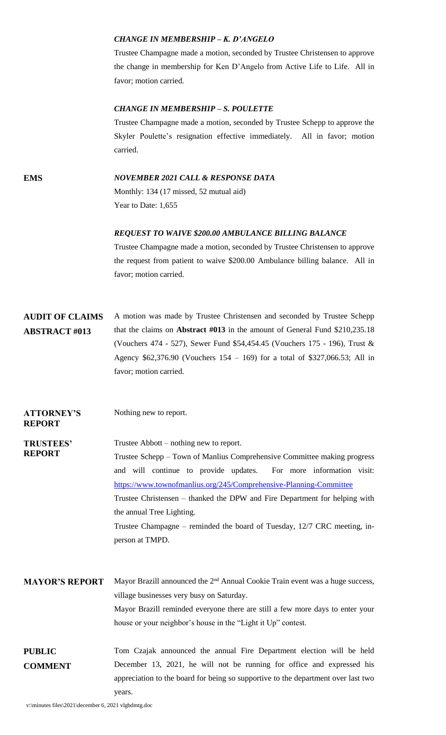|                                                | <b>CHANGE IN MEMBERSHIP - K. D'ANGELO</b><br>Trustee Champagne made a motion, seconded by Trustee Christensen to approve<br>the change in membership for Ken D'Angelo from Active Life to Life. All in<br>favor; motion carried.<br><b>CHANGE IN MEMBERSHIP - S. POULETTE</b>                                                                                                                                                                                                 |
|------------------------------------------------|-------------------------------------------------------------------------------------------------------------------------------------------------------------------------------------------------------------------------------------------------------------------------------------------------------------------------------------------------------------------------------------------------------------------------------------------------------------------------------|
|                                                | Trustee Champagne made a motion, seconded by Trustee Schepp to approve the<br>Skyler Poulette's resignation effective immediately. All in favor; motion<br>carried.                                                                                                                                                                                                                                                                                                           |
| EMS                                            | <b>NOVEMBER 2021 CALL &amp; RESPONSE DATA</b><br>Monthly: 134 (17 missed, 52 mutual aid)<br>Year to Date: 1,655                                                                                                                                                                                                                                                                                                                                                               |
|                                                | <b>REQUEST TO WAIVE \$200.00 AMBULANCE BILLING BALANCE</b><br>Trustee Champagne made a motion, seconded by Trustee Christensen to approve<br>the request from patient to waive \$200.00 Ambulance billing balance. All in<br>favor; motion carried.                                                                                                                                                                                                                           |
| <b>AUDIT OF CLAIMS</b><br><b>ABSTRACT #013</b> | A motion was made by Trustee Christensen and seconded by Trustee Schepp<br>that the claims on <b>Abstract</b> $\#013$ in the amount of General Fund \$210,235.18<br>(Vouchers 474 - 527), Sewer Fund \$54,454.45 (Vouchers 175 - 196), Trust &<br>Agency \$62,376.90 (Vouchers 154 – 169) for a total of \$327,066.53; All in<br>favor; motion carried.                                                                                                                       |
| <b>ATTORNEY'S</b><br><b>REPORT</b>             | Nothing new to report.                                                                                                                                                                                                                                                                                                                                                                                                                                                        |
| <b>TRUSTEES'</b><br><b>REPORT</b>              | Trustee $Abbott$ – nothing new to report.<br>Trustee Schepp – Town of Manlius Comprehensive Committee making progress<br>and will continue to provide updates.<br>For more information visit:<br>https://www.townofmanlius.org/245/Comprehensive-Planning-Committee<br>Trustee Christensen – thanked the DPW and Fire Department for helping with<br>the annual Tree Lighting.<br>Trustee Champagne – reminded the board of Tuesday, 12/7 CRC meeting, in-<br>person at TMPD. |
| <b>MAYOR'S REPORT</b>                          | Mayor Brazill announced the 2 <sup>nd</sup> Annual Cookie Train event was a huge success,<br>village businesses very busy on Saturday.<br>Mayor Brazill reminded everyone there are still a few more days to enter your<br>house or your neighbor's house in the "Light it Up" contest.                                                                                                                                                                                       |
| <b>PUBLIC</b><br><b>COMMENT</b>                | Tom Czajak announced the annual Fire Department election will be held<br>December 13, 2021, he will not be running for office and expressed his<br>appreciation to the board for being so supportive to the department over last two<br>years.                                                                                                                                                                                                                                |